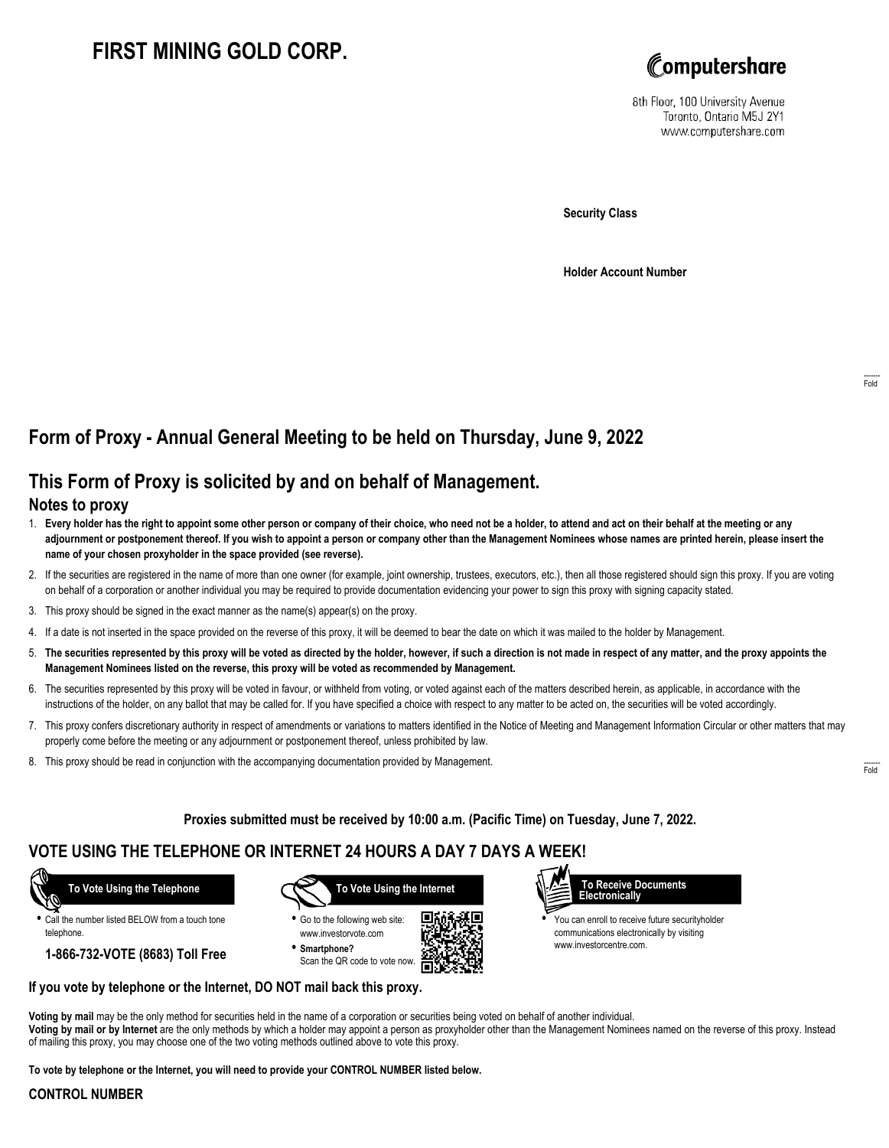# **FIRST MINING GOLD CORP.**



8th Floor, 100 University Avenue Toronto, Ontario M5J 2Y1 www.computershare.com

**Security Class**

**Holder Account Number**

## **Form of Proxy - Annual General Meeting to be held on Thursday, June 9, 2022**

## **This Form of Proxy is solicited by and on behalf of Management.**

#### **Notes to proxy**

- 1. **Every holder has the right to appoint some other person or company of their choice, who need not be a holder, to attend and act on their behalf at the meeting or any adjournment or postponement thereof. If you wish to appoint a person or company other than the Management Nominees whose names are printed herein, please insert the name of your chosen proxyholder in the space provided (see reverse).**
- 2. If the securities are registered in the name of more than one owner (for example, joint ownership, trustees, executors, etc.), then all those registered should sign this proxy. If you are voting on behalf of a corporation or another individual you may be required to provide documentation evidencing your power to sign this proxy with signing capacity stated.
- 3. This proxy should be signed in the exact manner as the name(s) appear(s) on the proxy.
- 4. If a date is not inserted in the space provided on the reverse of this proxy, it will be deemed to bear the date on which it was mailed to the holder by Management.
- 5. **The securities represented by this proxy will be voted as directed by the holder, however, if such a direction is not made in respect of any matter, and the proxy appoints the Management Nominees listed on the reverse, this proxy will be voted as recommended by Management.**
- 6. The securities represented by this proxy will be voted in favour, or withheld from voting, or voted against each of the matters described herein, as applicable, in accordance with the instructions of the holder, on any ballot that may be called for. If you have specified a choice with respect to any matter to be acted on, the securities will be voted accordingly.
- 7. This proxy confers discretionary authority in respect of amendments or variations to matters identified in the Notice of Meeting and Management Information Circular or other matters that may properly come before the meeting or any adjournment or postponement thereof, unless prohibited by law.
- 8. This proxy should be read in conjunction with the accompanying documentation provided by Management.

**Proxies submitted must be received by 10:00 a.m. (Pacific Time) on Tuesday, June 7, 2022.**

### **VOTE USING THE TELEPHONE OR INTERNET 24 HOURS A DAY 7 DAYS A WEEK!**

 **To Vote Using the Telephone**

**•** Call the number listed BELOW from a touch tone telephone.

**1-866-732-VOTE (8683) Toll Free**



**•** Go to the following web site: www.investorvote.com **• Smartphone?**

Scan the QR code to vote now.





**•** You can enroll to receive future securityholder communications electronically by visiting www.investorcentre.com.

#### **If you vote by telephone or the Internet, DO NOT mail back this proxy.**

**Voting by mail** may be the only method for securities held in the name of a corporation or securities being voted on behalf of another individual. **Voting by mail or by Internet** are the only methods by which a holder may appoint a person as proxyholder other than the Management Nominees named on the reverse of this proxy. Instead of mailing this proxy, you may choose one of the two voting methods outlined above to vote this proxy.

**To vote by telephone or the Internet, you will need to provide your CONTROL NUMBER listed below.**

#### **CONTROL NUMBER**